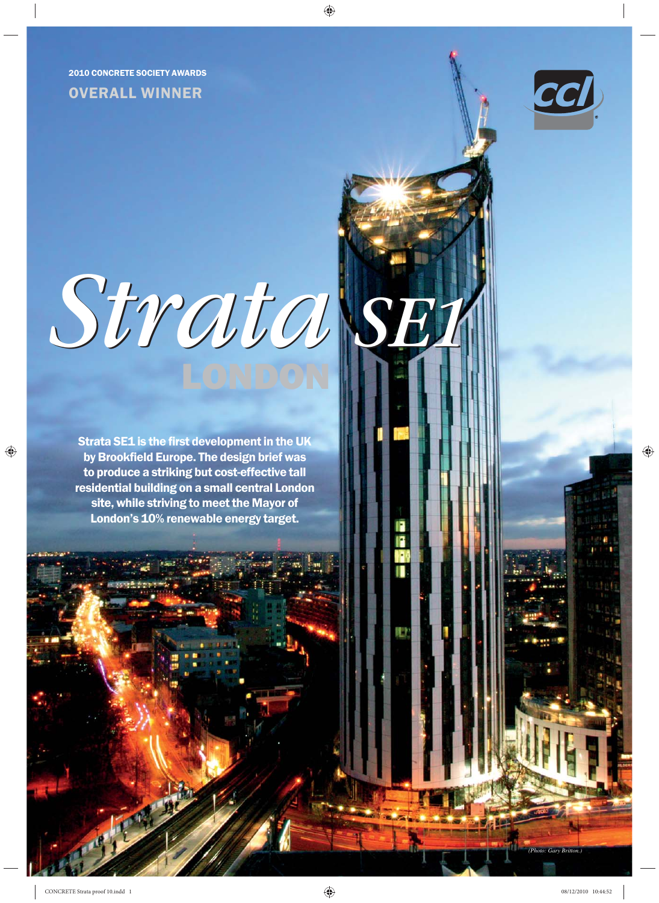2010 CONCRETE SOCIETY AWARDS

# OVERALL WINNER



# *Strata SE1*

Strata SE1 is the first development in the UK by Brookfield Europe. The design brief was to produce a striking but cost-effective tall residential building on a small central London site, while striving to meet the Mayor of London's 10% renewable energy target.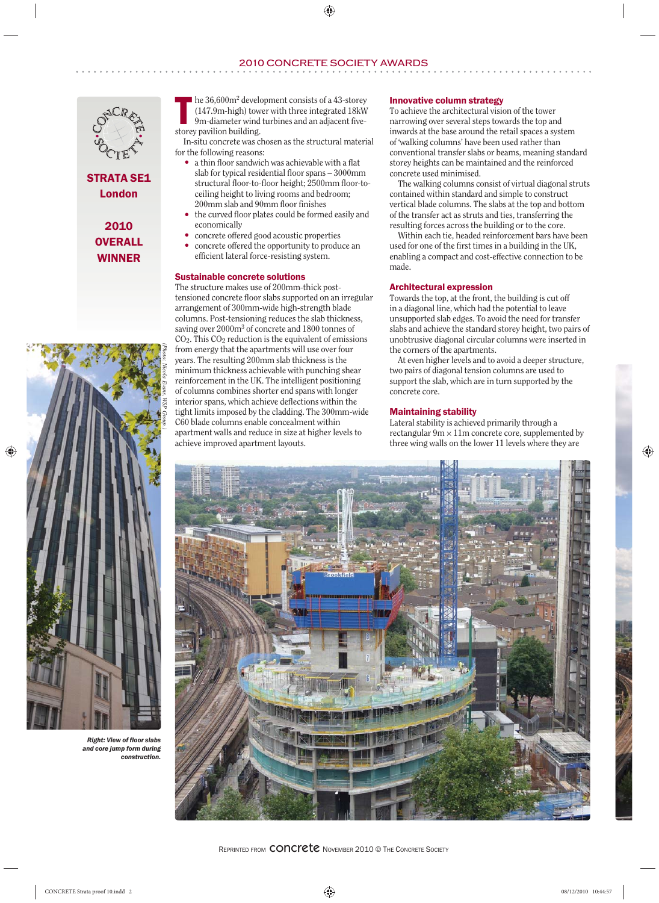# 2010 CONCRETE SOCIETY AWARDS



STRATA SE1 London

> 2010 **OVERALL** WINNER



*Right: View of floor slabs and core jump form during construction.*

**T** he 36,600m<sup>2</sup><br>(147.9m-hig)<br>9m-diameter  $\blacksquare$  he 36,600m<sup>2</sup> development consists of a 43-storey (147.9m-high) tower with three integrated 18kW 9m-diameter wind turbines and an adjacent fivestorey pavilion building.

In-situ concrete was chosen as the structural material for the following reasons:

- a thin floor sandwich was achievable with a flat slab for typical residential floor spans – 3000mm structural floor-to-floor height; 2500mm floor-toceiling height to living rooms and bedroom; 200mm slab and 90mm floor finishes
- the curved floor plates could be formed easily and economically
- concrete offered good acoustic properties
- concrete offered the opportunity to produce an efficient lateral force-resisting system.

# Sustainable concrete solutions

The structure makes use of 200mm-thick posttensioned concrete floor slabs supported on an irregular arrangement of 300mm-wide high-strength blade columns. Post-tensioning reduces the slab thickness, saving over 2000m<sup>3</sup> of concrete and 1800 tonnes of  $CO<sub>2</sub>$ . This  $CO<sub>2</sub>$  reduction is the equivalent of emissions from energy that the apartments will use over four years. The resulting 200mm slab thickness is the minimum thickness achievable with punching shear reinforcement in the UK. The intelligent positioning of columns combines shorter end spans with longer interior spans, which achieve deflections within the tight limits imposed by the cladding. The 300mm-wide C60 blade columns enable concealment within apartment walls and reduce in size at higher levels to achieve improved apartment layouts.

# Innovative column strategy

To achieve the architectural vision of the tower narrowing over several steps towards the top and inwards at the base around the retail spaces a system of 'walking columns' have been used rather than conventional transfer slabs or beams, meaning standard storey heights can be maintained and the reinforced concrete used minimised.

The walking columns consist of virtual diagonal struts contained within standard and simple to construct vertical blade columns. The slabs at the top and bottom of the transfer act as struts and ties, transferring the resulting forces across the building or to the core.

Within each tie, headed reinforcement bars have been used for one of the first times in a building in the UK, enabling a compact and cost-effective connection to be made.

# Architectural expression

Towards the top, at the front, the building is cut off in a diagonal line, which had the potential to leave unsupported slab edges. To avoid the need for transfer slabs and achieve the standard storey height, two pairs of unobtrusive diagonal circular columns were inserted in the corners of the apartments.

At even higher levels and to avoid a deeper structure, two pairs of diagonal tension columns are used to support the slab, which are in turn supported by the concrete core.

# Maintaining stability

Lateral stability is achieved primarily through a rectangular  $9m \times 11m$  concrete core, supplemented by three wing walls on the lower 11 levels where they are

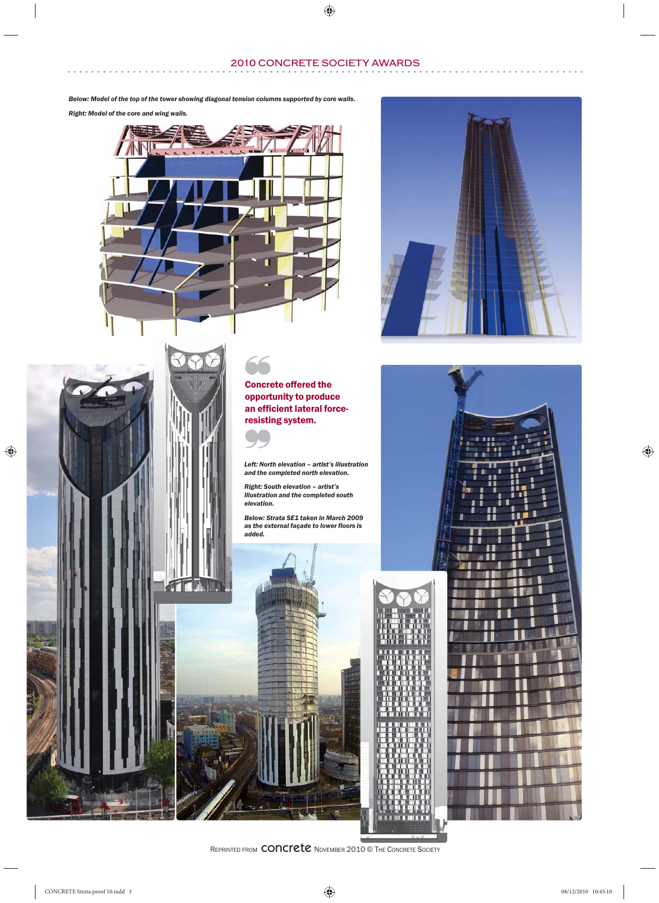# 2010 CONCRETE SOCIETY AWARDS

*Below: Model of the top of the tower showing diagonal tension columns supported by core walls.*

*Right: Model of the core and wing walls.*



*(Photo: Nicola Evans, WSP Group.)*

 $716.1$ 



❞ *Left: North elevation – artist's illustration and the completed north elevation.*

*Right: South elevation – artist's illustration and the completed south elevation.*

*Below: Strata SE1 taken in March 2009 as the external façade to lower floors is added.*